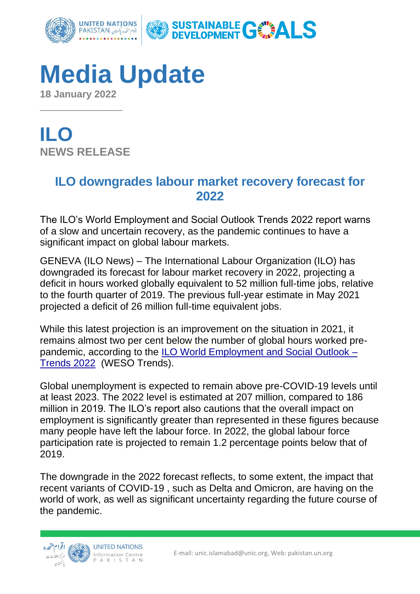

# **Media Update 18 January 2022**

 $\overline{\phantom{a}}$  , where  $\overline{\phantom{a}}$ 

**ILO NEWS RELEASE**

### **ILO downgrades labour market recovery forecast for 2022**

The ILO's World Employment and Social Outlook Trends 2022 report warns of a slow and uncertain recovery, as the pandemic continues to have a significant impact on global labour markets.

GENEVA (ILO News) – The International Labour Organization (ILO) has downgraded its forecast for labour market recovery in 2022, projecting a deficit in hours worked globally equivalent to 52 million full-time jobs, relative to the fourth quarter of 2019. The previous full-year estimate in May 2021 projected a deficit of 26 million full-time equivalent jobs.

While this latest projection is an improvement on the situation in 2021, it remains almost two per cent below the number of global hours worked prepandemic, according to the ILO [World Employment and Social Outlook –](https://www.ilo.org/global/research/global-reports/weso/trends2022/WCMS_834081/lang--en/index.htm) [Trends 2022](https://www.ilo.org/global/research/global-reports/weso/trends2022/WCMS_834081/lang--en/index.htm) (WESO Trends).

Global unemployment is expected to remain above pre-COVID-19 levels until at least 2023. The 2022 level is estimated at 207 million, compared to 186 million in 2019. The ILO's report also cautions that the overall impact on employment is significantly greater than represented in these figures because many people have left the labour force. In 2022, the global labour force participation rate is projected to remain 1.2 percentage points below that of 2019.

The downgrade in the 2022 forecast reflects, to some extent, the impact that recent variants of COVID-19 , such as Delta and Omicron, are having on the world of work, as well as significant uncertainty regarding the future course of the pandemic.

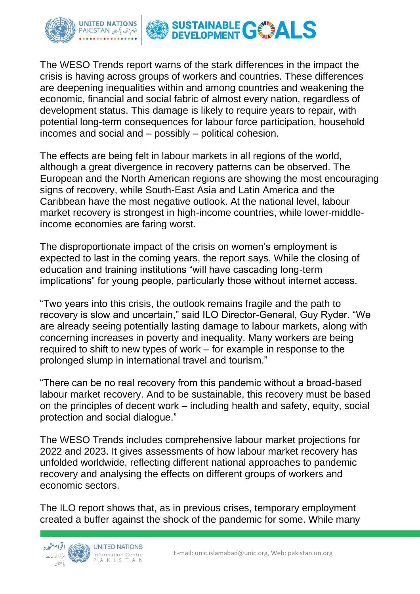

The WESO Trends report warns of the stark differences in the impact the crisis is having across groups of workers and countries. These differences are deepening inequalities within and among countries and weakening the economic, financial and social fabric of almost every nation, regardless of development status. This damage is likely to require years to repair, with potential long-term consequences for labour force participation, household incomes and social and – possibly – political cohesion.

The effects are being felt in labour markets in all regions of the world, although a great divergence in recovery patterns can be observed. The European and the North American regions are showing the most encouraging signs of recovery, while South-East Asia and Latin America and the Caribbean have the most negative outlook. At the national level, labour market recovery is strongest in high-income countries, while lower-middleincome economies are faring worst.

The disproportionate impact of the crisis on women's employment is expected to last in the coming years, the report says. While the closing of education and training institutions "will have cascading long-term implications" for young people, particularly those without internet access.

"Two years into this crisis, the outlook remains fragile and the path to recovery is slow and uncertain," said ILO Director-General, Guy Ryder. "We are already seeing potentially lasting damage to labour markets, along with concerning increases in poverty and inequality. Many workers are being required to shift to new types of work – for example in response to the prolonged slump in international travel and tourism."

"There can be no real recovery from this pandemic without a broad-based labour market recovery. And to be sustainable, this recovery must be based on the principles of decent work – including health and safety, equity, social protection and social dialogue."

The WESO Trends includes comprehensive labour market projections for 2022 and 2023. It gives assessments of how labour market recovery has unfolded worldwide, reflecting different national approaches to pandemic recovery and analysing the effects on different groups of workers and economic sectors.

The ILO report shows that, as in previous crises, temporary employment created a buffer against the shock of the pandemic for some. While many

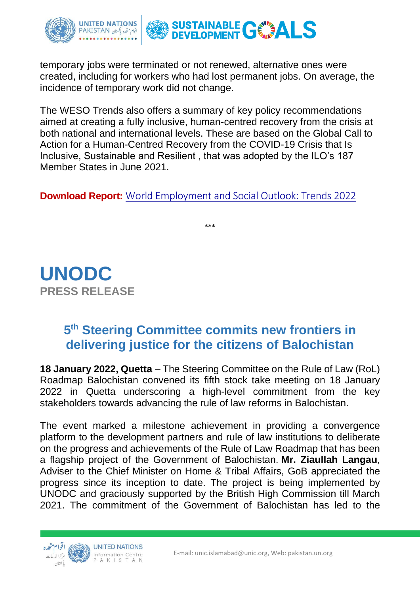

temporary jobs were terminated or not renewed, alternative ones were created, including for workers who had lost permanent jobs. On average, the incidence of temporary work did not change.

The WESO Trends also offers a summary of key policy recommendations aimed at creating a fully inclusive, human-centred recovery from the crisis at both national and international levels. These are based on the Global Call to Action for a Human-Centred Recovery from the COVID-19 Crisis that Is Inclusive, Sustainable and Resilient , that was adopted by the ILO's 187 Member States in June 2021.

**Download Report:** [World Employment and Social Outlook: Trends 2022](https://www.ilo.org/global/research/global-reports/weso/trends2022/WCMS_834081/lang--en/index.htm)

\*\*\*

**UNODC PRESS RELEASE**

## **5 th Steering Committee commits new frontiers in delivering justice for the citizens of Balochistan**

**18 January 2022, Quetta** – The Steering Committee on the Rule of Law (RoL) Roadmap Balochistan convened its fifth stock take meeting on 18 January 2022 in Quetta underscoring a high-level commitment from the key stakeholders towards advancing the rule of law reforms in Balochistan.

The event marked a milestone achievement in providing a convergence platform to the development partners and rule of law institutions to deliberate on the progress and achievements of the Rule of Law Roadmap that has been a flagship project of the Government of Balochistan. **Mr. Ziaullah Langau**, Adviser to the Chief Minister on Home & Tribal Affairs, GoB appreciated the progress since its inception to date. The project is being implemented by UNODC and graciously supported by the British High Commission till March 2021. The commitment of the Government of Balochistan has led to the

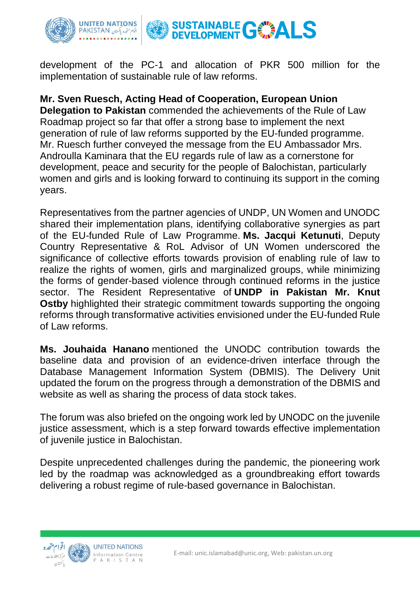

development of the PC-1 and allocation of PKR 500 million for the implementation of sustainable rule of law reforms.

### **Mr. Sven Ruesch, Acting Head of Cooperation, European Union**

**Delegation to Pakistan** commended the achievements of the Rule of Law Roadmap project so far that offer a strong base to implement the next generation of rule of law reforms supported by the EU-funded programme. Mr. Ruesch further conveyed the message from the EU Ambassador Mrs. Androulla Kaminara that the EU regards rule of law as a cornerstone for development, peace and security for the people of Balochistan, particularly women and girls and is looking forward to continuing its support in the coming years.

Representatives from the partner agencies of UNDP, UN Women and UNODC shared their implementation plans, identifying collaborative synergies as part of the EU-funded Rule of Law Programme. **Ms. Jacqui Ketunuti**, Deputy Country Representative & RoL Advisor of UN Women underscored the significance of collective efforts towards provision of enabling rule of law to realize the rights of women, girls and marginalized groups, while minimizing the forms of gender-based violence through continued reforms in the justice sector. The Resident Representative of **UNDP in Pakistan Mr. Knut Ostby** highlighted their strategic commitment towards supporting the ongoing reforms through transformative activities envisioned under the EU-funded Rule of Law reforms.

**Ms. Jouhaida Hanano** mentioned the UNODC contribution towards the baseline data and provision of an evidence-driven interface through the Database Management Information System (DBMIS). The Delivery Unit updated the forum on the progress through a demonstration of the DBMIS and website as well as sharing the process of data stock takes.

The forum was also briefed on the ongoing work led by UNODC on the juvenile justice assessment, which is a step forward towards effective implementation of juvenile justice in Balochistan.

Despite unprecedented challenges during the pandemic, the pioneering work led by the roadmap was acknowledged as a groundbreaking effort towards delivering a robust regime of rule-based governance in Balochistan.

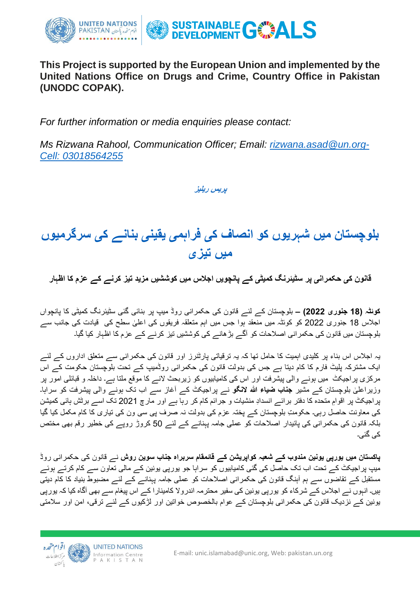

#### **This Project is supported by the European Union and implemented by the United Nations Office on Drugs and Crime, Country Office in Pakistan (UNODC COPAK).**

*For further information or media enquiries please contact:*

*Ms Rizwana Rahool, Communication Officer; Email: [rizwana.asad@un.org-](mailto:rizwana.asad@un.org)Cell: 03018564255*

**پریس ریلیز** 

## **بلوچستان میں شہریوں کو انصاف کی فراہمی یقینی بنانے کی سرگرمیوں میں تیزی**

**قانون کی حکمرانی پر سٹیئرنگ کمیٹی کے پانچویں اجالس میں کوششیں مزید تیز کرنے کے عزم کا اظہار**

**کوئٹہ )18 جنوری 2022( –** بلوچستان کے لئے قانون کی حکمرانی روڈ میپ پر بنائی گئی سٹیئرنگ کمیٹی کا پانچواں اجلاس 18 جنوری 2022 کو کوئٹہ میں منعقد ہوا جس میں اہم متعلقہ فریقوں کی اعلیٰ سطح کی قیادت کی جانب سے بلوچستان میں قانون کی حکمرانی اصالحات کو آگے بڑھانے کی کوششیں تیز کرنے کے عزم کا اظہار کیا گیا۔

یہ اجالس اس بناء پر کلیدی اہمیت کا حامل تھا کہ یہ ترقیاتی پارٹنرز اور قانون کی حکمرانی سے متعلق اداروں کے لئے ایک مشترکہ پلیٹ فارم کا کام دیتا ہے جس کی بدولت قانون کی حکمرانی روڈمیپ کے تحت بلوچستان حکومت کے اس مرکزی پراجیکٹ میں ہونے والی پیشرفت اور اس کی کامیابیوں کو زیربحث النے کا موقع ملتا ہے۔ داخلہ و قبائلی امور پر وزیراعلیٰ بلوچستان کے مشیر **جناب ضیاء اللہ لانگو** نے پراجیکٹ کے آغاز سے اب تک ہونے والی پیشرفت کو سراہا۔ پراجیکٹ پر اقوامِ متحدہ کا دفتر برائے انسدادِ منشیات و جرائم کام کر رہا ہے اور مارچ 2021 تک اسے برٹش ہائی کمیشن کی معاونت حاصل رہی۔ حکومتِ بلوچستان کے پختہ عزم کی بدولت نہ صرف پی سی ون کی تیاری کا کام مکمل کیا گیا بلکہ قانون کی حکمرانی کی پائیدار اصالحات کو عملی جامہ پہنانے کے لئے 50 کروڑ روپے کی خطیر رقم بھی مختص کی گئی۔

**پاکستان میں یورپی یونین مندوب کے شعبہ کواپریشن کے قائمقام سربراہ جناب سوین روش** نے قانون کی حکمرانی روڈ میپ پراجیکٹ کے تحت اب تک حاصل کی گئی کامیابیوں کو سراہا جو یورپی یونین کے مالی تعاون سے کام کرتے ہوئے مستقبل کے تقاضوں سے ہم آہنگ قانون کی حکمرانی اصالحات کو عملی جامہ پہنانے کے لئے مضبوط بنیاد کا کام دیتی ہیں۔ انہوں نے اجالس کے شرکاء کو یورپی یونین کی سفیر محترمہ اندروال کامینارا کے اس پیغام سے بھی آگاہ کیا کہ یورپی یونین کے نزدیک قانون کی حکمرانی بلوچستان کے عوام بالخصوص خواتین اور لڑکیوں کے لئے ترقی، امن اور سالمتی